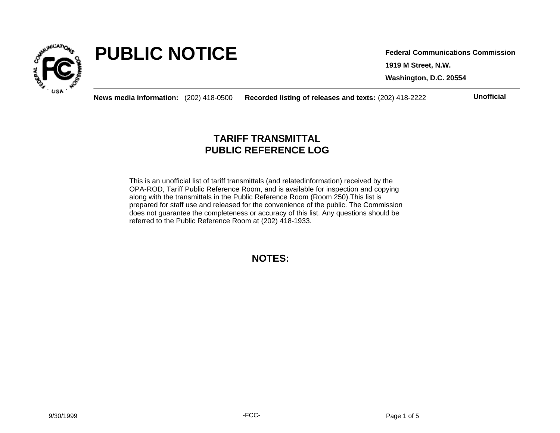

# **PUBLIC NOTICE**

**1919 M Street, N.W. Washington, D.C. 20554 Federal Communications Commission**

**News media information:** (202) 418-0500 **Recorded listing of releases and texts:** (202) 418-2222 **Unofficial**

## **TARIFF TRANSMITTAL PUBLIC REFERENCE LOG**

This is an unofficial list of tariff transmittals (and relatedinformation) received by the OPA-ROD, Tariff Public Reference Room, and is available for inspection and copying along with the transmittals in the Public Reference Room (Room 250).This list is prepared for staff use and released for the convenience of the public. The Commission does not guarantee the completeness or accuracy of this list. Any questions should be referred to the Public Reference Room at (202) 418-1933.

**NOTES:**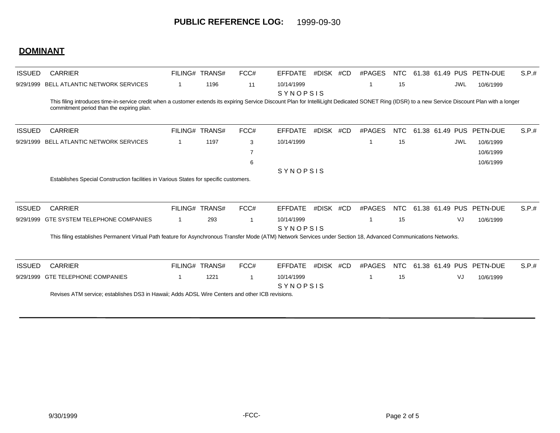### **DOMINANT**

| <b>ISSUED</b> | <b>CARRIER</b>                                                                                                                                                                                                                                  |                                                                                                 | FILING# TRANS# | FCC#        | <b>EFFDATE</b>         | #DISK #CD |  | #PAGES | NTC.       |  |                 |            | 61.38 61.49 PUS PETN-DUE | S.P.# |
|---------------|-------------------------------------------------------------------------------------------------------------------------------------------------------------------------------------------------------------------------------------------------|-------------------------------------------------------------------------------------------------|----------------|-------------|------------------------|-----------|--|--------|------------|--|-----------------|------------|--------------------------|-------|
| 9/29/1999     | BELL ATLANTIC NETWORK SERVICES                                                                                                                                                                                                                  |                                                                                                 | 1196           | 11          | 10/14/1999             |           |  |        | 15         |  |                 | JWL        | 10/6/1999                |       |
|               | This filing introduces time-in-service credit when a customer extends its expiring Service Discount Plan for IntelliLight Dedicated SONET Ring (IDSR) to a new Service Discount Plan with a longer<br>commitment period than the expiring plan. |                                                                                                 |                |             | SYNOPSIS               |           |  |        |            |  |                 |            |                          |       |
| <b>ISSUED</b> | <b>CARRIER</b>                                                                                                                                                                                                                                  |                                                                                                 | FILING# TRANS# | FCC#        | <b>EFFDATE</b>         | #DISK #CD |  | #PAGES | <b>NTC</b> |  | 61.38 61.49 PUS |            | PETN-DUE                 | S.P.# |
| 9/29/1999     | <b>BELL ATLANTIC NETWORK SERVICES</b>                                                                                                                                                                                                           |                                                                                                 | 1197           | 3           | 10/14/1999             |           |  |        | 15         |  |                 | <b>JWL</b> | 10/6/1999                |       |
|               |                                                                                                                                                                                                                                                 |                                                                                                 |                |             |                        |           |  |        |            |  |                 |            | 10/6/1999                |       |
|               |                                                                                                                                                                                                                                                 |                                                                                                 |                | 6           |                        |           |  |        |            |  |                 |            | 10/6/1999                |       |
|               |                                                                                                                                                                                                                                                 |                                                                                                 |                |             | SYNOPSIS               |           |  |        |            |  |                 |            |                          |       |
| <b>ISSUED</b> | Establishes Special Construction facilities in Various States for specific customers.<br><b>CARRIER</b>                                                                                                                                         |                                                                                                 | FILING# TRANS# | FCC#        | <b>EFFDATE</b>         | #DISK #CD |  | #PAGES | <b>NTC</b> |  |                 |            | 61.38 61.49 PUS PETN-DUE | S.P.# |
| 9/29/1999     | <b>GTE SYSTEM TELEPHONE COMPANIES</b>                                                                                                                                                                                                           |                                                                                                 | 293            | $\mathbf 1$ | 10/14/1999<br>SYNOPSIS |           |  |        | 15         |  |                 | VJ         | 10/6/1999                |       |
|               | This filing establishes Permanent Virtual Path feature for Asynchronous Transfer Mode (ATM) Network Services under Section 18, Advanced Communications Networks.                                                                                |                                                                                                 |                |             |                        |           |  |        |            |  |                 |            |                          |       |
| <b>ISSUED</b> | <b>CARRIER</b>                                                                                                                                                                                                                                  |                                                                                                 | FILING# TRANS# | FCC#        | <b>EFFDATE</b>         | #DISK #CD |  | #PAGES | <b>NTC</b> |  |                 |            | 61.38 61.49 PUS PETN-DUE | S.P.# |
| 9/29/1999     | <b>GTE TELEPHONE COMPANIES</b>                                                                                                                                                                                                                  |                                                                                                 | 1221           | $\mathbf 1$ | 10/14/1999<br>SYNOPSIS |           |  | -1     | 15         |  |                 | VJ         | 10/6/1999                |       |
|               |                                                                                                                                                                                                                                                 | Revises ATM service; establishes DS3 in Hawaii; Adds ADSL Wire Centers and other ICB revisions. |                |             |                        |           |  |        |            |  |                 |            |                          |       |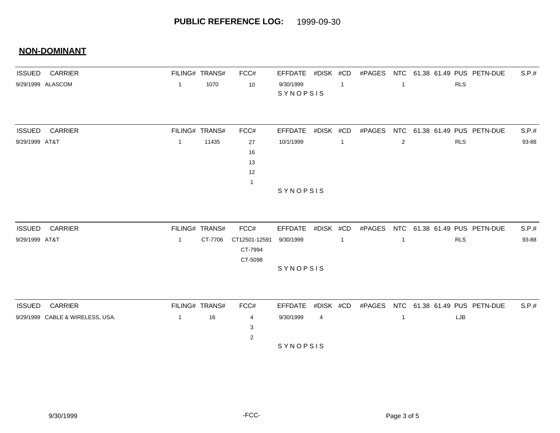#### **NON-DOMINANT**

| <b>ISSUED</b>  | <b>CARRIER</b>                   | FILING# TRANS# |         | FCC#           | <b>EFFDATE</b>        | #DISK #CD |                | #PAGES | NTC                      |            | 61.38 61.49 PUS PETN-DUE     | S.P.# |
|----------------|----------------------------------|----------------|---------|----------------|-----------------------|-----------|----------------|--------|--------------------------|------------|------------------------------|-------|
|                | 9/29/1999 ALASCOM                | $\mathbf{1}$   | 1070    | 10             | 9/30/1999<br>SYNOPSIS |           | $\overline{1}$ |        | -1                       | <b>RLS</b> |                              |       |
|                |                                  |                |         |                |                       |           |                |        |                          |            |                              |       |
| <b>ISSUED</b>  | <b>CARRIER</b>                   | FILING# TRANS# |         | FCC#           | <b>EFFDATE</b>        | #DISK #CD |                | #PAGES | <b>NTC</b>               |            | 61.38 61.49 PUS PETN-DUE     | S.P.# |
| 9/29/1999 AT&T |                                  | $\mathbf{1}$   | 11435   | 27             | 10/1/1999             |           | $\mathbf{1}$   |        | 2                        | <b>RLS</b> |                              | 93-88 |
|                |                                  |                |         | 16<br>13       |                       |           |                |        |                          |            |                              |       |
|                |                                  |                |         | 12             |                       |           |                |        |                          |            |                              |       |
|                |                                  |                |         | $\mathbf{1}$   |                       |           |                |        |                          |            |                              |       |
|                |                                  |                |         |                | SYNOPSIS              |           |                |        |                          |            |                              |       |
|                |                                  |                |         |                |                       |           |                |        |                          |            |                              |       |
| <b>ISSUED</b>  | <b>CARRIER</b>                   | FILING# TRANS# |         | FCC#           | <b>EFFDATE</b>        | #DISK #CD |                | #PAGES | <b>NTC</b>               |            | 61.38 61.49 PUS PETN-DUE     | S.P.# |
| 9/29/1999 AT&T |                                  | $\mathbf{1}$   | CT-7706 | CT12501-12591  | 9/30/1999             |           | $\mathbf{1}$   |        | -1                       | <b>RLS</b> |                              | 93-88 |
|                |                                  |                |         | CT-7994        |                       |           |                |        |                          |            |                              |       |
|                |                                  |                |         | CT-5098        | SYNOPSIS              |           |                |        |                          |            |                              |       |
|                |                                  |                |         |                |                       |           |                |        |                          |            |                              |       |
| <b>ISSUED</b>  | CARRIER                          | FILING# TRANS# |         | FCC#           | <b>EFFDATE</b>        | #DISK #CD |                | #PAGES |                          |            | NTC 61.38 61.49 PUS PETN-DUE | S.P.# |
|                | 9/29/1999 CABLE & WIRELESS, USA. | $\mathbf{1}$   | 16      | $\overline{4}$ | 9/30/1999             | 4         |                |        | $\overline{\phantom{a}}$ | LJB        |                              |       |

S Y N O P S I S

 $3<sup>3</sup>$ 2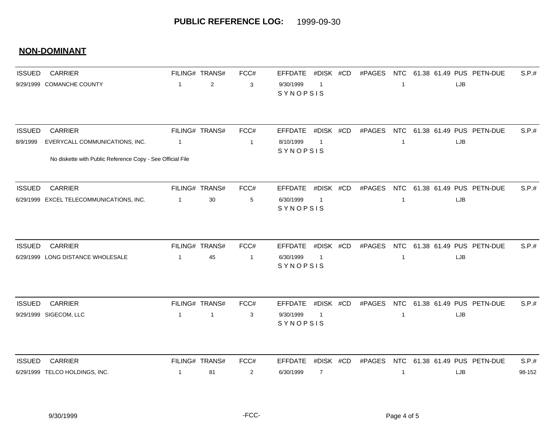#### **NON-DOMINANT**

| <b>ISSUED</b> | <b>CARRIER</b>                                             |                | FILING# TRANS# | FCC#           | #DISK #CD<br>#PAGES<br><b>EFFDATE</b>   | <b>NTC</b><br>61.38 61.49 PUS PETN-DUE<br>S.P.# |
|---------------|------------------------------------------------------------|----------------|----------------|----------------|-----------------------------------------|-------------------------------------------------|
|               | 9/29/1999 COMANCHE COUNTY                                  | $\mathbf{1}$   | $\sqrt{2}$     | 3              | 9/30/1999<br>-1<br>SYNOPSIS             | LJB<br>-1                                       |
|               |                                                            |                |                |                |                                         |                                                 |
| <b>ISSUED</b> | <b>CARRIER</b>                                             |                | FILING# TRANS# | FCC#           | #DISK #CD<br>#PAGES<br><b>EFFDATE</b>   | 61.38 61.49 PUS PETN-DUE<br>S.P.#<br><b>NTC</b> |
| 8/9/1999      | EVERYCALL COMMUNICATIONS, INC.                             | $\mathbf{1}$   |                | $\mathbf{1}$   | 8/10/1999<br>-1                         | LJB<br>$\mathbf{1}$                             |
|               | No diskette with Public Reference Copy - See Official File |                |                |                | SYNOPSIS                                |                                                 |
| <b>ISSUED</b> | <b>CARRIER</b>                                             |                | FILING# TRANS# | FCC#           | #DISK #CD<br>#PAGES<br><b>EFFDATE</b>   | <b>NTC</b><br>61.38 61.49 PUS PETN-DUE<br>S.P.# |
|               | 6/29/1999 EXCEL TELECOMMUNICATIONS, INC.                   | $\overline{1}$ | 30             | 5              | 6/30/1999<br>$\overline{1}$<br>SYNOPSIS | LJB<br>$\mathbf{1}$                             |
|               |                                                            |                |                |                |                                         |                                                 |
| <b>ISSUED</b> | <b>CARRIER</b>                                             |                | FILING# TRANS# | FCC#           | #DISK #CD<br>#PAGES<br><b>EFFDATE</b>   | NTC 61.38 61.49 PUS PETN-DUE<br>S.P.#           |
|               | 6/29/1999 LONG DISTANCE WHOLESALE                          | $\mathbf 1$    | 45             | $\mathbf{1}$   | 6/30/1999<br>-1<br>SYNOPSIS             | LJB<br>-1                                       |
|               |                                                            |                |                |                |                                         |                                                 |
| <b>ISSUED</b> | <b>CARRIER</b>                                             |                | FILING# TRANS# | FCC#           | #DISK #CD<br>#PAGES<br><b>EFFDATE</b>   | NTC 61.38 61.49 PUS PETN-DUE<br>S.P.#           |
|               | 9/29/1999 SIGECOM, LLC                                     | $\mathbf{1}$   | $\mathbf{1}$   | 3              | 9/30/1999<br>$\overline{1}$<br>SYNOPSIS | LJB<br>$\mathbf{1}$                             |
|               |                                                            |                |                |                |                                         |                                                 |
| <b>ISSUED</b> | <b>CARRIER</b>                                             |                | FILING# TRANS# | FCC#           | <b>EFFDATE</b><br>#DISK #CD<br>#PAGES   | <b>NTC</b><br>61.38 61.49 PUS PETN-DUE<br>S.P.# |
|               | 6/29/1999 TELCO HOLDINGS, INC.                             | $\mathbf 1$    | 81             | $\overline{2}$ | 6/30/1999<br>$\overline{7}$             | 98-152<br>LJB                                   |